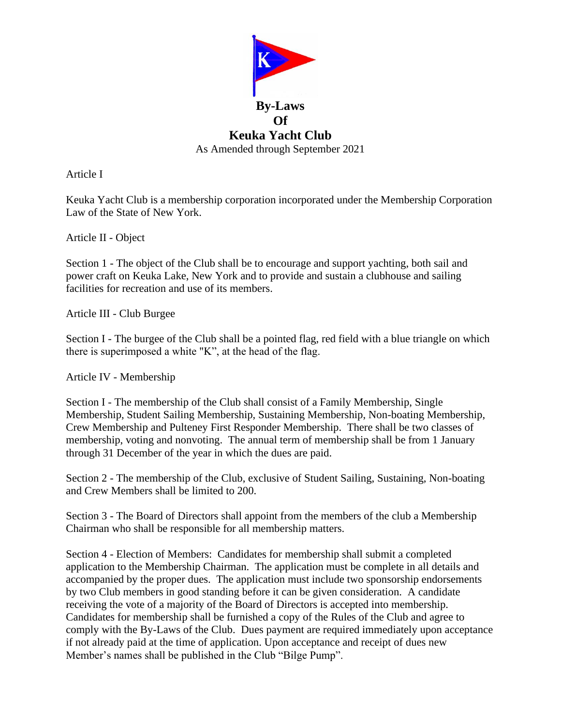

Article I

Keuka Yacht Club is a membership corporation incorporated under the Membership Corporation Law of the State of New York.

Article II - Object

Section 1 - The object of the Club shall be to encourage and support yachting, both sail and power craft on Keuka Lake, New York and to provide and sustain a clubhouse and sailing facilities for recreation and use of its members.

Article III - Club Burgee

Section I - The burgee of the Club shall be a pointed flag, red field with a blue triangle on which there is superimposed a white "K", at the head of the flag.

Article IV - Membership

Section I - The membership of the Club shall consist of a Family Membership, Single Membership, Student Sailing Membership, Sustaining Membership, Non-boating Membership, Crew Membership and Pulteney First Responder Membership. There shall be two classes of membership, voting and nonvoting. The annual term of membership shall be from 1 January through 31 December of the year in which the dues are paid.

Section 2 - The membership of the Club, exclusive of Student Sailing, Sustaining, Non-boating and Crew Members shall be limited to 200.

Section 3 - The Board of Directors shall appoint from the members of the club a Membership Chairman who shall be responsible for all membership matters.

Section 4 - Election of Members: Candidates for membership shall submit a completed application to the Membership Chairman. The application must be complete in all details and accompanied by the proper dues. The application must include two sponsorship endorsements by two Club members in good standing before it can be given consideration. A candidate receiving the vote of a majority of the Board of Directors is accepted into membership. Candidates for membership shall be furnished a copy of the Rules of the Club and agree to comply with the By-Laws of the Club. Dues payment are required immediately upon acceptance if not already paid at the time of application. Upon acceptance and receipt of dues new Member's names shall be published in the Club "Bilge Pump".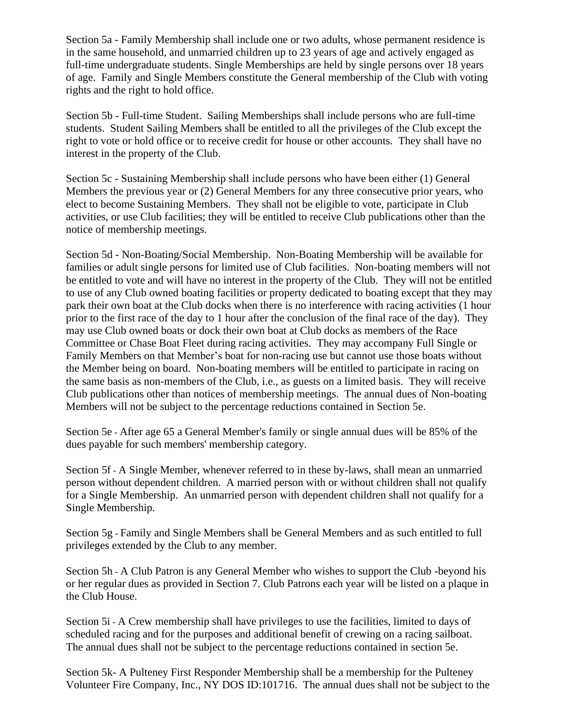Section 5a - Family Membership shall include one or two adults, whose permanent residence is in the same household, and unmarried children up to 23 years of age and actively engaged as full-time undergraduate students. Single Memberships are held by single persons over 18 years of age. Family and Single Members constitute the General membership of the Club with voting rights and the right to hold office.

Section 5b - Full-time Student. Sailing Memberships shall include persons who are full-time students. Student Sailing Members shall be entitled to all the privileges of the Club except the right to vote or hold office or to receive credit for house or other accounts. They shall have no interest in the property of the Club.

Section 5c - Sustaining Membership shall include persons who have been either (1) General Members the previous year or (2) General Members for any three consecutive prior years, who elect to become Sustaining Members. They shall not be eligible to vote, participate in Club activities, or use Club facilities; they will be entitled to receive Club publications other than the notice of membership meetings.

Section 5d - Non-Boating/Social Membership. Non-Boating Membership will be available for families or adult single persons for limited use of Club facilities. Non-boating members will not be entitled to vote and will have no interest in the property of the Club. They will not be entitled to use of any Club owned boating facilities or property dedicated to boating except that they may park their own boat at the Club docks when there is no interference with racing activities (1 hour prior to the first race of the day to 1 hour after the conclusion of the final race of the day). They may use Club owned boats or dock their own boat at Club docks as members of the Race Committee or Chase Boat Fleet during racing activities. They may accompany Full Single or Family Members on that Member's boat for non-racing use but cannot use those boats without the Member being on board. Non-boating members will be entitled to participate in racing on the same basis as non-members of the Club, i.e., as guests on a limited basis. They will receive Club publications other than notices of membership meetings. The annual dues of Non-boating Members will not be subject to the percentage reductions contained in Section 5e.

Section 5e - After age 65 a General Member's family or single annual dues will be 85% of the dues payable for such members' membership category.

Section 5f - A Single Member, whenever referred to in these by-laws, shall mean an unmarried person without dependent children. A married person with or without children shall not qualify for a Single Membership. An unmarried person with dependent children shall not qualify for a Single Membership.

Section 5g - Family and Single Members shall be General Members and as such entitled to full privileges extended by the Club to any member.

Section 5h - A Club Patron is any General Member who wishes to support the Club -beyond his or her regular dues as provided in Section 7. Club Patrons each year will be listed on a plaque in the Club House.

Section 5i - A Crew membership shall have privileges to use the facilities, limited to days of scheduled racing and for the purposes and additional benefit of crewing on a racing sailboat. The annual dues shall not be subject to the percentage reductions contained in section 5e.

Section 5k- A Pulteney First Responder Membership shall be a membership for the Pulteney Volunteer Fire Company, Inc., NY DOS ID:101716. The annual dues shall not be subject to the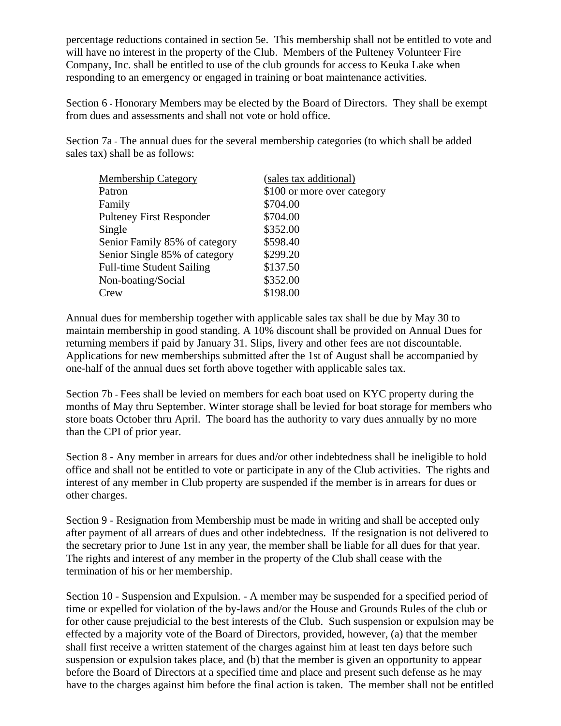percentage reductions contained in section 5e. This membership shall not be entitled to vote and will have no interest in the property of the Club. Members of the Pulteney Volunteer Fire Company, Inc. shall be entitled to use of the club grounds for access to Keuka Lake when responding to an emergency or engaged in training or boat maintenance activities.

Section 6 - Honorary Members may be elected by the Board of Directors. They shall be exempt from dues and assessments and shall not vote or hold office.

Section 7a - The annual dues for the several membership categories (to which shall be added sales tax) shall be as follows:

| <b>Membership Category</b>       | (sales tax additional)      |
|----------------------------------|-----------------------------|
| Patron                           | \$100 or more over category |
| Family                           | \$704.00                    |
| <b>Pulteney First Responder</b>  | \$704.00                    |
| Single                           | \$352.00                    |
| Senior Family 85% of category    | \$598.40                    |
| Senior Single 85% of category    | \$299.20                    |
| <b>Full-time Student Sailing</b> | \$137.50                    |
| Non-boating/Social               | \$352.00                    |
| Crew                             | \$198.00                    |

Annual dues for membership together with applicable sales tax shall be due by May 30 to maintain membership in good standing. A 10% discount shall be provided on Annual Dues for returning members if paid by January 31. Slips, livery and other fees are not discountable. Applications for new memberships submitted after the 1st of August shall be accompanied by one-half of the annual dues set forth above together with applicable sales tax.

Section 7b - Fees shall be levied on members for each boat used on KYC property during the months of May thru September. Winter storage shall be levied for boat storage for members who store boats October thru April. The board has the authority to vary dues annually by no more than the CPI of prior year.

Section 8 - Any member in arrears for dues and/or other indebtedness shall be ineligible to hold office and shall not be entitled to vote or participate in any of the Club activities. The rights and interest of any member in Club property are suspended if the member is in arrears for dues or other charges.

Section 9 - Resignation from Membership must be made in writing and shall be accepted only after payment of all arrears of dues and other indebtedness. If the resignation is not delivered to the secretary prior to June 1st in any year, the member shall be liable for all dues for that year. The rights and interest of any member in the property of the Club shall cease with the termination of his or her membership.

Section 10 - Suspension and Expulsion. - A member may be suspended for a specified period of time or expelled for violation of the by-laws and/or the House and Grounds Rules of the club or for other cause prejudicial to the best interests of the Club. Such suspension or expulsion may be effected by a majority vote of the Board of Directors, provided, however, (a) that the member shall first receive a written statement of the charges against him at least ten days before such suspension or expulsion takes place, and (b) that the member is given an opportunity to appear before the Board of Directors at a specified time and place and present such defense as he may have to the charges against him before the final action is taken. The member shall not be entitled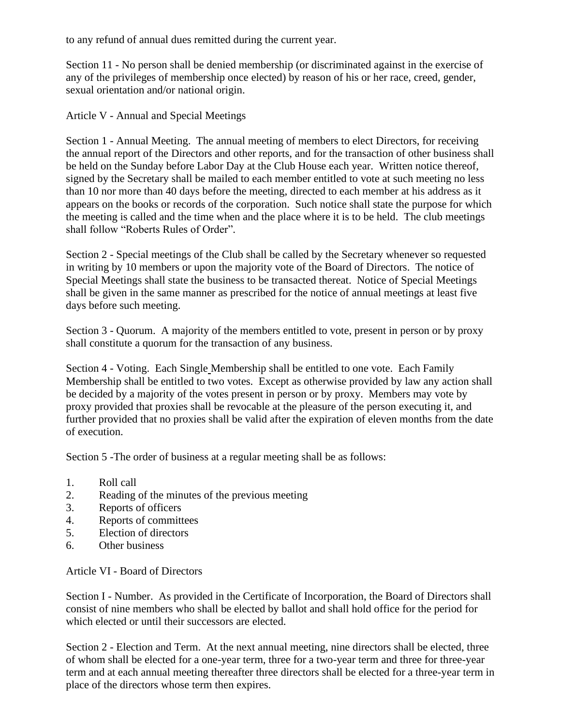to any refund of annual dues remitted during the current year.

Section 11 - No person shall be denied membership (or discriminated against in the exercise of any of the privileges of membership once elected) by reason of his or her race, creed, gender, sexual orientation and/or national origin.

Article V - Annual and Special Meetings

Section 1 - Annual Meeting. The annual meeting of members to elect Directors, for receiving the annual report of the Directors and other reports, and for the transaction of other business shall be held on the Sunday before Labor Day at the Club House each year. Written notice thereof, signed by the Secretary shall be mailed to each member entitled to vote at such meeting no less than 10 nor more than 40 days before the meeting, directed to each member at his address as it appears on the books or records of the corporation. Such notice shall state the purpose for which the meeting is called and the time when and the place where it is to be held. The club meetings shall follow "Roberts Rules of Order".

Section 2 - Special meetings of the Club shall be called by the Secretary whenever so requested in writing by 10 members or upon the majority vote of the Board of Directors. The notice of Special Meetings shall state the business to be transacted thereat. Notice of Special Meetings shall be given in the same manner as prescribed for the notice of annual meetings at least five days before such meeting.

Section 3 - Quorum. A majority of the members entitled to vote, present in person or by proxy shall constitute a quorum for the transaction of any business.

Section 4 - Voting. Each Single Membership shall be entitled to one vote. Each Family Membership shall be entitled to two votes. Except as otherwise provided by law any action shall be decided by a majority of the votes present in person or by proxy. Members may vote by proxy provided that proxies shall be revocable at the pleasure of the person executing it, and further provided that no proxies shall be valid after the expiration of eleven months from the date of execution.

Section 5 -The order of business at a regular meeting shall be as follows:

- 1. Roll call
- 2. Reading of the minutes of the previous meeting
- 3. Reports of officers
- 4. Reports of committees
- 5. Election of directors
- 6. Other business

Article VI - Board of Directors

Section I - Number. As provided in the Certificate of Incorporation, the Board of Directors shall consist of nine members who shall be elected by ballot and shall hold office for the period for which elected or until their successors are elected.

Section 2 - Election and Term. At the next annual meeting, nine directors shall be elected, three of whom shall be elected for a one-year term, three for a two-year term and three for three-year term and at each annual meeting thereafter three directors shall be elected for a three-year term in place of the directors whose term then expires.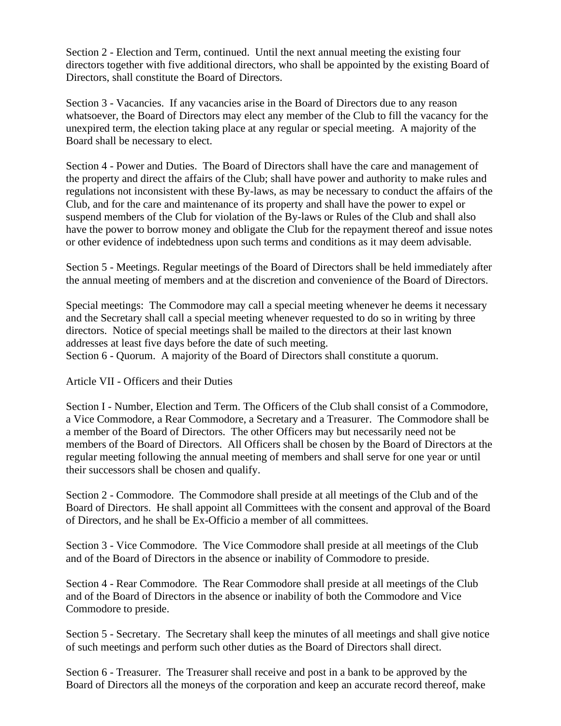Section 2 - Election and Term, continued. Until the next annual meeting the existing four directors together with five additional directors, who shall be appointed by the existing Board of Directors, shall constitute the Board of Directors.

Section 3 - Vacancies. If any vacancies arise in the Board of Directors due to any reason whatsoever, the Board of Directors may elect any member of the Club to fill the vacancy for the unexpired term, the election taking place at any regular or special meeting. A majority of the Board shall be necessary to elect.

Section 4 - Power and Duties. The Board of Directors shall have the care and management of the property and direct the affairs of the Club; shall have power and authority to make rules and regulations not inconsistent with these By-laws, as may be necessary to conduct the affairs of the Club, and for the care and maintenance of its property and shall have the power to expel or suspend members of the Club for violation of the By-laws or Rules of the Club and shall also have the power to borrow money and obligate the Club for the repayment thereof and issue notes or other evidence of indebtedness upon such terms and conditions as it may deem advisable.

Section 5 - Meetings. Regular meetings of the Board of Directors shall be held immediately after the annual meeting of members and at the discretion and convenience of the Board of Directors.

Special meetings: The Commodore may call a special meeting whenever he deems it necessary and the Secretary shall call a special meeting whenever requested to do so in writing by three directors. Notice of special meetings shall be mailed to the directors at their last known addresses at least five days before the date of such meeting.

Section 6 - Quorum. A majority of the Board of Directors shall constitute a quorum.

## Article VII - Officers and their Duties

Section I - Number, Election and Term. The Officers of the Club shall consist of a Commodore, a Vice Commodore, a Rear Commodore, a Secretary and a Treasurer. The Commodore shall be a member of the Board of Directors. The other Officers may but necessarily need not be members of the Board of Directors. All Officers shall be chosen by the Board of Directors at the regular meeting following the annual meeting of members and shall serve for one year or until their successors shall be chosen and qualify.

Section 2 - Commodore. The Commodore shall preside at all meetings of the Club and of the Board of Directors. He shall appoint all Committees with the consent and approval of the Board of Directors, and he shall be Ex-Officio a member of all committees.

Section 3 - Vice Commodore. The Vice Commodore shall preside at all meetings of the Club and of the Board of Directors in the absence or inability of Commodore to preside.

Section 4 - Rear Commodore. The Rear Commodore shall preside at all meetings of the Club and of the Board of Directors in the absence or inability of both the Commodore and Vice Commodore to preside.

Section 5 - Secretary. The Secretary shall keep the minutes of all meetings and shall give notice of such meetings and perform such other duties as the Board of Directors shall direct.

Section 6 - Treasurer. The Treasurer shall receive and post in a bank to be approved by the Board of Directors all the moneys of the corporation and keep an accurate record thereof, make